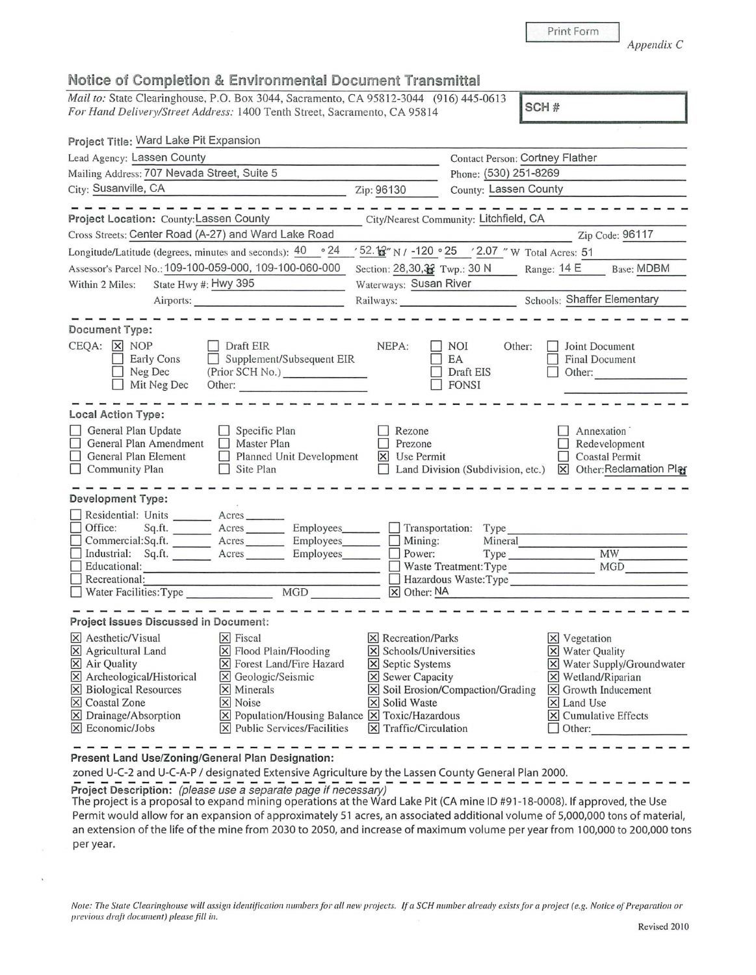Print Form

*Appendix* C

| Notice of Completion & Environmental Document Transmittal                                                                                                                                                                                                                                                                                                                                                                                                                                                                                                                                       |                                                                                                                                              |                                                                   |                                                                                                                                                                                                        |  |  |
|-------------------------------------------------------------------------------------------------------------------------------------------------------------------------------------------------------------------------------------------------------------------------------------------------------------------------------------------------------------------------------------------------------------------------------------------------------------------------------------------------------------------------------------------------------------------------------------------------|----------------------------------------------------------------------------------------------------------------------------------------------|-------------------------------------------------------------------|--------------------------------------------------------------------------------------------------------------------------------------------------------------------------------------------------------|--|--|
| Mail to: State Clearinghouse, P.O. Box 3044, Sacramento, CA 95812-3044 (916) 445-0613<br>SCH#<br>For Hand Delivery/Street Address: 1400 Tenth Street, Sacramento, CA 95814                                                                                                                                                                                                                                                                                                                                                                                                                      |                                                                                                                                              |                                                                   |                                                                                                                                                                                                        |  |  |
| Project Title: Ward Lake Pit Expansion                                                                                                                                                                                                                                                                                                                                                                                                                                                                                                                                                          |                                                                                                                                              |                                                                   |                                                                                                                                                                                                        |  |  |
| Lead Agency: Lassen County                                                                                                                                                                                                                                                                                                                                                                                                                                                                                                                                                                      |                                                                                                                                              | <b>Contact Person: Cortney Flather</b>                            |                                                                                                                                                                                                        |  |  |
| Mailing Address: 707 Nevada Street, Suite 5                                                                                                                                                                                                                                                                                                                                                                                                                                                                                                                                                     |                                                                                                                                              | Phone: (530) 251-8269                                             |                                                                                                                                                                                                        |  |  |
| City: Susanville, CA<br>Zip: 96130                                                                                                                                                                                                                                                                                                                                                                                                                                                                                                                                                              |                                                                                                                                              | County: Lassen County                                             |                                                                                                                                                                                                        |  |  |
| the contract and contract the contract state and contract that the contract and<br>Project Location: County: Lassen County                                                                                                                                                                                                                                                                                                                                                                                                                                                                      |                                                                                                                                              | City/Nearest Community: Litchfield, CA                            |                                                                                                                                                                                                        |  |  |
| Cross Streets: Center Road (A-27) and Ward Lake Road                                                                                                                                                                                                                                                                                                                                                                                                                                                                                                                                            |                                                                                                                                              |                                                                   | Zip Code: 96117                                                                                                                                                                                        |  |  |
| Longitude/Latitude (degrees, minutes and seconds): 40 ° 24                                                                                                                                                                                                                                                                                                                                                                                                                                                                                                                                      |                                                                                                                                              | '52. 12" N / -120 ° 25 '2.07" W Total Acres: 51                   |                                                                                                                                                                                                        |  |  |
| Assessor's Parcel No.: 109-100-059-000, 109-100-060-000                                                                                                                                                                                                                                                                                                                                                                                                                                                                                                                                         | Base: MDBM<br>Section: 28,30,33 Twp.: 30 N<br>Range: 14 E                                                                                    |                                                                   |                                                                                                                                                                                                        |  |  |
| State Hwy #: Hwy 395<br>Within 2 Miles:                                                                                                                                                                                                                                                                                                                                                                                                                                                                                                                                                         | Waterways: Susan River                                                                                                                       |                                                                   |                                                                                                                                                                                                        |  |  |
|                                                                                                                                                                                                                                                                                                                                                                                                                                                                                                                                                                                                 |                                                                                                                                              |                                                                   |                                                                                                                                                                                                        |  |  |
| Document Type:<br>CEQA: X NOP<br>Draft EIR<br>Supplement/Subsequent EIR<br><b>Early Cons</b><br>Neg Dec<br>(Prior SCH No.)<br>Mit Neg Dec<br>Other:<br>Local Action Type:<br>General Plan Update<br>Specific Plan                                                                                                                                                                                                                                                                                                                                                                               | NEPA:<br>Rezone                                                                                                                              | <b>NOI</b><br>Other:<br>EA<br>Draft EIS<br><b>FONSI</b>           | Joint Document<br>Final Document<br>Other:<br>Annexation                                                                                                                                               |  |  |
| General Plan Amendment<br>Master Plan<br>General Plan Element<br>Planned Unit Development<br>Community Plan<br>Site Plan                                                                                                                                                                                                                                                                                                                                                                                                                                                                        | Prezone<br>$\times$ Use Permit                                                                                                               | Land Division (Subdivision, etc.)                                 | Redevelopment<br>Coastal Permit<br>Other:Reclamation Play<br>$\times$                                                                                                                                  |  |  |
| Development Type:<br>Residential: Units _______ Acres _____<br>Office:<br>Employees_______<br>Commercial:Sq.ft. __________ Acres ________<br>Employees________<br>Industrial: Sq.ft. _______ Acres ______<br>Employees_<br>Educational:<br>Recreational:<br>MGD<br>Water Facilities: Type                                                                                                                                                                                                                                                                                                       | Transportation:<br>Mining:<br>Power:<br>$\triangleright$ Other: NA                                                                           | Type<br>Mineral<br>Waste Treatment: Type<br>Hazardous Waste: Type | <b>MW</b><br>MGD                                                                                                                                                                                       |  |  |
| <b>Project Issues Discussed in Document:</b><br>$\times$ Aesthetic/Visual<br>$\vert x \vert$<br>Fiscal<br>X Agricultural Land<br>Flood Plain/Flooding<br>$ \mathsf{x} $<br>X Air Quality<br>X Forest Land/Fire Hazard<br>X Archeological/Historical<br>$\vert x \vert$<br>Geologic/Seismic<br>X Biological Resources<br>$\vert \times \vert$<br>Minerals<br>X Coastal Zone<br>$ \times $<br>Noise<br>X Drainage/Absorption<br>Population/Housing Balance X Toxic/Hazardous<br>$\vert \times \vert$<br><b>Public Services/Facilities</b><br>$ \mathsf{X} $ Economic/Jobs<br>$\vert \times \vert$ | $\times$ Recreation/Parks<br>X Schools/Universities<br>X Septic Systems<br>X Sewer Capacity<br>X Solid Waste<br>$\times$ Traffic/Circulation | Soil Erosion/Compaction/Grading                                   | X Vegetation<br>X Water Quality<br>X Water Supply/Groundwater<br>$\times$ Wetland/Riparian<br>$\vert$ $\times$ Growth Inducement<br>$\times$ Land Use<br>$\vert$ $\times$ Cumulative Effects<br>Other: |  |  |

**Present Land Use/Zoning/General Plan Designation:** 

zoned U-C-2 and U-C-A-P / designated Extensive Agriculture by the Lassen County General Plan 2000.

**Project Description:** (please use a separate page if necessary)

The project is a proposal to expand mining operations at the Ward Lake Pit (CA mine ID #91-18-0008). If approved, the Use Permit would allow for an expansion of approximately 51 acres, an associated additional volume of 5,000,000 tons of material, an extension of the life of the mine from 2030 to 2050, and increase of maximum volume per year from 100,000 to 200,000 tons per year.

*Note: The State Clearinghouse will assign identification numbers for all new projects. If a SCH number already exists for a project (e.g. Notice of Preparation or previous drnji dow111e11t) please* Jill *i11.*